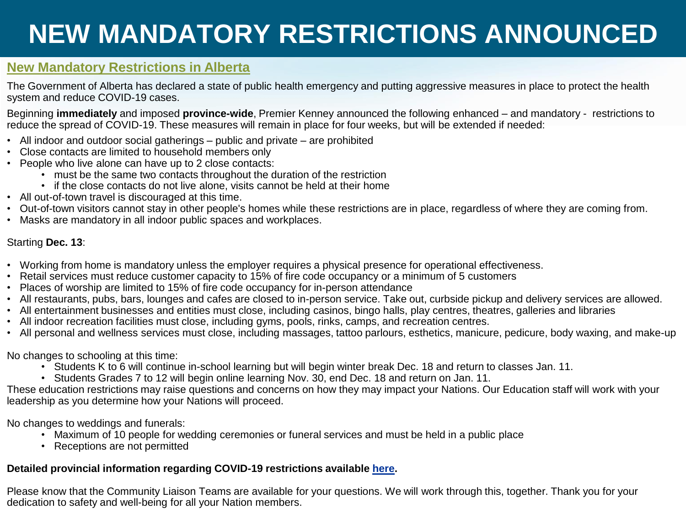# **NEW MANDATORY RESTRICTIONS ANNOUNCED**

### **New Mandatory Restrictions in Alberta**

The Government of Alberta has declared a state of public health emergency and putting aggressive measures in place to protect the health system and reduce COVID-19 cases.

Beginning **immediately** and imposed **province-wide**, Premier Kenney announced the following enhanced – and mandatory - restrictions to reduce the spread of COVID-19. These measures will remain in place for four weeks, but will be extended if needed:

- All indoor and outdoor social gatherings public and private are prohibited
- Close contacts are limited to household members only
- People who live alone can have up to 2 close contacts:
	- must be the same two contacts throughout the duration of the restriction
	- if the close contacts do not live alone, visits cannot be held at their home
- All out-of-town travel is discouraged at this time.
- Out-of-town visitors cannot stay in other people's homes while these restrictions are in place, regardless of where they are coming from.
- Masks are mandatory in all indoor public spaces and workplaces.

#### Starting **Dec. 13**:

- Working from home is mandatory unless the employer requires a physical presence for operational effectiveness.
- Retail services must reduce customer capacity to 15% of fire code occupancy or a minimum of 5 customers
- Places of worship are limited to 15% of fire code occupancy for in-person attendance
- All restaurants, pubs, bars, lounges and cafes are closed to in-person service. Take out, curbside pickup and delivery services are allowed.
- All entertainment businesses and entities must close, including casinos, bingo halls, play centres, theatres, galleries and libraries
- All indoor recreation facilities must close, including gyms, pools, rinks, camps, and recreation centres.
- All personal and wellness services must close, including massages, tattoo parlours, esthetics, manicure, pedicure, body waxing, and make-up

No changes to schooling at this time:

- Students K to 6 will continue in-school learning but will begin winter break Dec. 18 and return to classes Jan. 11.
- Students Grades 7 to 12 will begin online learning Nov. 30, end Dec. 18 and return on Jan. 11.

These education restrictions may raise questions and concerns on how they may impact your Nations. Our Education staff will work with your leadership as you determine how your Nations will proceed.

No changes to weddings and funerals:

- Maximum of 10 people for wedding ceremonies or funeral services and must be held in a public place
- Receptions are not permitted

### **Detailed provincial information regarding COVID-19 restrictions available [here](https://www.alberta.ca/enhanced-public-health-measures.aspx).**

Please know that the Community Liaison Teams are available for your questions. We will work through this, together. Thank you for your dedication to safety and well-being for all your Nation members.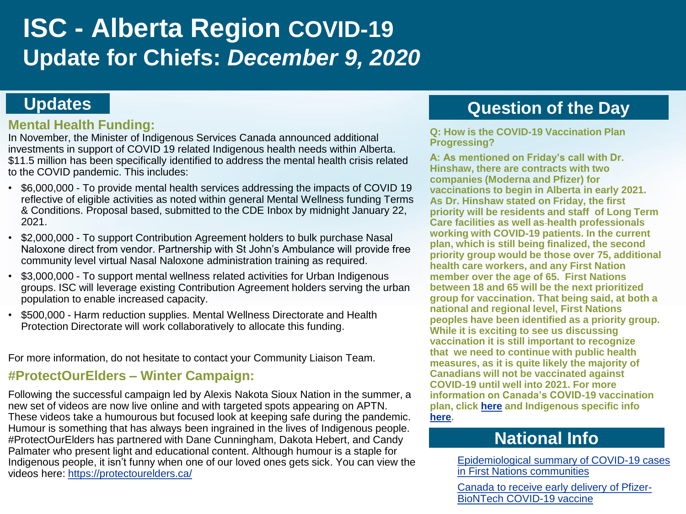# **ISC - Alberta Region COVID-19 Update for Chiefs:** *December 9, 2020*

### **Updates**

### **Mental Health Funding:**

In November, the Minister of Indigenous Services Canada announced additional investments in support of COVID 19 related Indigenous health needs within Alberta. \$11.5 million has been specifically identified to address the mental health crisis related to the COVID pandemic. This includes:

- \$6,000,000 To provide mental health services addressing the impacts of COVID 19 reflective of eligible activities as noted within general Mental Wellness funding Terms & Conditions. Proposal based, submitted to the CDE Inbox by midnight January 22, 2021.
- \$2,000,000 To support Contribution Agreement holders to bulk purchase Nasal Naloxone direct from vendor. Partnership with St John's Ambulance will provide free community level virtual Nasal Naloxone administration training as required.
- \$3,000,000 To support mental wellness related activities for Urban Indigenous groups. ISC will leverage existing Contribution Agreement holders serving the urban population to enable increased capacity.
- \$500,000 Harm reduction supplies. Mental Wellness Directorate and Health Protection Directorate will work collaboratively to allocate this funding.

For more information, do not hesitate to contact your Community Liaison Team.

### **#ProtectOurElders – Winter Campaign:**

Following the successful campaign led by Alexis Nakota Sioux Nation in the summer, a new set of videos are now live online and with targeted spots appearing on APTN. These videos take a humourous but focused look at keeping safe during the pandemic. Humour is something that has always been ingrained in the lives of Indigenous people. #ProtectOurElders has partnered with Dane Cunningham, Dakota Hebert, and Candy Palmater who present light and educational content. Although humour is a staple for Indigenous people, it isn't funny when one of our loved ones gets sick. You can view the videos here:<https://protectourelders.ca/>

# **Question of the Day**

**Q: How is the COVID-19 Vaccination Plan Progressing?** 

**A: As mentioned on Friday's call with Dr. Hinshaw, there are contracts with two companies (Moderna and Pfizer) for vaccinations to begin in Alberta in early 2021. As Dr. Hinshaw stated on Friday, the first priority will be residents and staff of Long Term Care facilities as well as health professionals working with COVID-19 patients. In the current plan, which is still being finalized, the second priority group would be those over 75, additional health care workers, and any First Nation member over the age of 65. First Nations between 18 and 65 will be the next prioritized group for vaccination. That being said, at both a national and regional level, First Nations peoples have been identified as a priority group. While it is exciting to see us discussing vaccination it is still important to recognize that we need to continue with public health measures, as it is quite likely the majority of Canadians will not be vaccinated against COVID-19 until well into 2021. For more information on Canada's COVID-19 vaccination plan, click [here](https://www.canada.ca/en/public-health/services/immunization/national-advisory-committee-on-immunization-naci/guidance-prioritization-initial-doses-covid-19-vaccines.html) and Indigenous specific info [here.](https://www.sac-isc.gc.ca/eng/1606941379837/1606941507767)** 

## **National Info**

[Epidemiological summary of COVID-19 cases](https://www.sac-isc.gc.ca/eng/1589895506010/1589895527965) in First Nations communities

[Canada to receive early delivery of Pfizer-](https://www.canada.ca/en/public-services-procurement/news/2020/12/canada-to-receive-early-delivery-of-pfizer-biontech-covid-19-vaccine.html)BioNTech COVID-19 vaccine